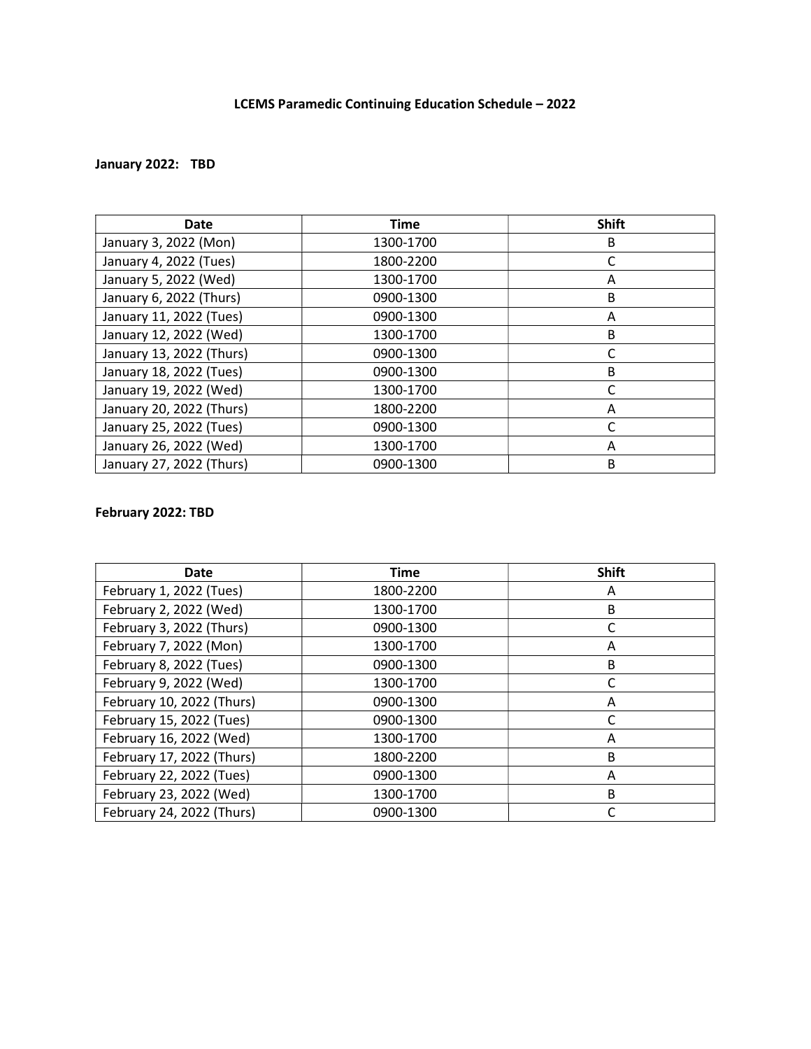### January 2022: TBD

| <b>Date</b>              | <b>Time</b> | <b>Shift</b> |  |  |
|--------------------------|-------------|--------------|--|--|
| January 3, 2022 (Mon)    | 1300-1700   | B            |  |  |
| January 4, 2022 (Tues)   | 1800-2200   | C            |  |  |
| January 5, 2022 (Wed)    | 1300-1700   | Α            |  |  |
| January 6, 2022 (Thurs)  | 0900-1300   | B            |  |  |
| January 11, 2022 (Tues)  | 0900-1300   | Α            |  |  |
| January 12, 2022 (Wed)   | 1300-1700   | B            |  |  |
| January 13, 2022 (Thurs) | 0900-1300   | C            |  |  |
| January 18, 2022 (Tues)  | 0900-1300   | B            |  |  |
| January 19, 2022 (Wed)   | 1300-1700   | C            |  |  |
| January 20, 2022 (Thurs) | 1800-2200   | A            |  |  |
| January 25, 2022 (Tues)  | 0900-1300   |              |  |  |
| January 26, 2022 (Wed)   | 1300-1700   | A            |  |  |
| January 27, 2022 (Thurs) | 0900-1300   | B            |  |  |

### February 2022: TBD

| Date                      | <b>Time</b> | <b>Shift</b> |
|---------------------------|-------------|--------------|
| February 1, 2022 (Tues)   | 1800-2200   | A            |
| February 2, 2022 (Wed)    | 1300-1700   | B            |
| February 3, 2022 (Thurs)  | 0900-1300   | C            |
| February 7, 2022 (Mon)    | 1300-1700   | Α            |
| February 8, 2022 (Tues)   | 0900-1300   | B            |
| February 9, 2022 (Wed)    | 1300-1700   | C            |
| February 10, 2022 (Thurs) | 0900-1300   | A            |
| February 15, 2022 (Tues)  | 0900-1300   | C            |
| February 16, 2022 (Wed)   | 1300-1700   | Α            |
| February 17, 2022 (Thurs) | 1800-2200   | B            |
| February 22, 2022 (Tues)  | 0900-1300   | Λ            |
| February 23, 2022 (Wed)   | 1300-1700   | B            |
| February 24, 2022 (Thurs) | 0900-1300   |              |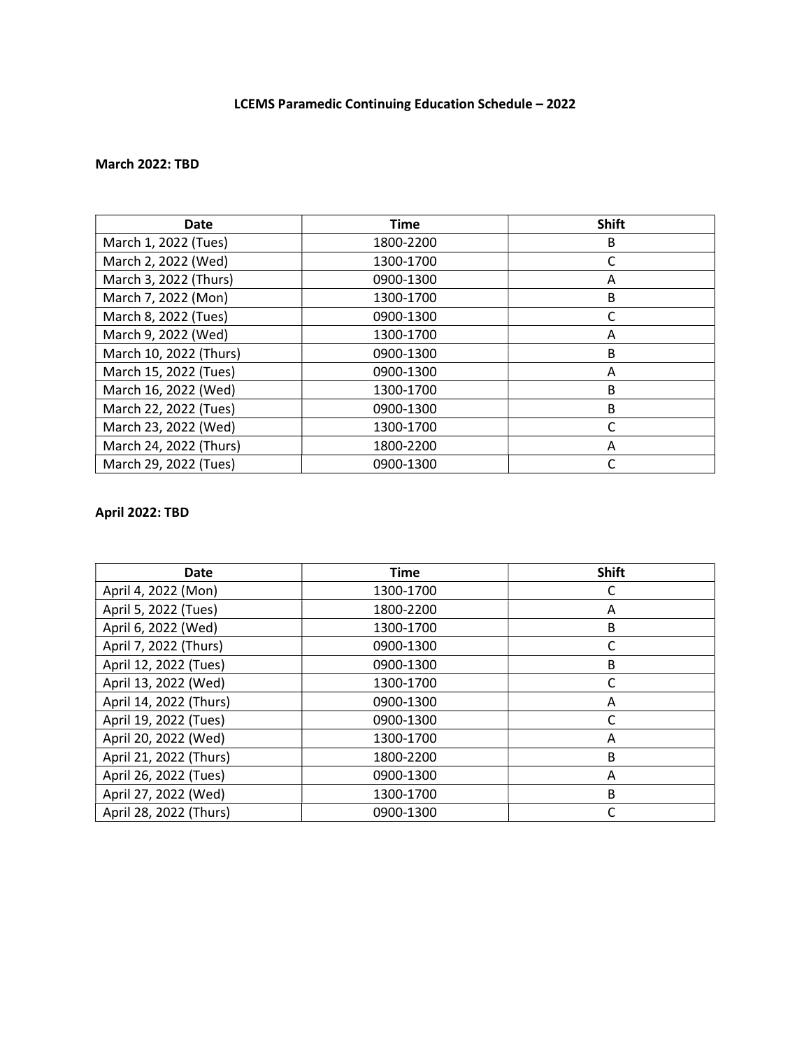#### March 2022: TBD

| <b>Date</b>            | <b>Time</b> | <b>Shift</b> |  |  |
|------------------------|-------------|--------------|--|--|
| March 1, 2022 (Tues)   | 1800-2200   | B            |  |  |
| March 2, 2022 (Wed)    | 1300-1700   |              |  |  |
| March 3, 2022 (Thurs)  | 0900-1300   | Α            |  |  |
| March 7, 2022 (Mon)    | 1300-1700   | B            |  |  |
| March 8, 2022 (Tues)   | 0900-1300   |              |  |  |
| March 9, 2022 (Wed)    | 1300-1700   | Α            |  |  |
| March 10, 2022 (Thurs) | 0900-1300   | B            |  |  |
| March 15, 2022 (Tues)  | 0900-1300   | Α            |  |  |
| March 16, 2022 (Wed)   | 1300-1700   | B            |  |  |
| March 22, 2022 (Tues)  | 0900-1300   | B            |  |  |
| March 23, 2022 (Wed)   | 1300-1700   |              |  |  |
| March 24, 2022 (Thurs) | 1800-2200   | A            |  |  |
| March 29, 2022 (Tues)  | 0900-1300   |              |  |  |

#### April 2022: TBD

| <b>Date</b>            | <b>Time</b> | <b>Shift</b> |
|------------------------|-------------|--------------|
| April 4, 2022 (Mon)    | 1300-1700   | C            |
| April 5, 2022 (Tues)   | 1800-2200   | A            |
| April 6, 2022 (Wed)    | 1300-1700   | B            |
| April 7, 2022 (Thurs)  | 0900-1300   | C            |
| April 12, 2022 (Tues)  | 0900-1300   | B            |
| April 13, 2022 (Wed)   | 1300-1700   | C            |
| April 14, 2022 (Thurs) | 0900-1300   | Α            |
| April 19, 2022 (Tues)  | 0900-1300   | C            |
| April 20, 2022 (Wed)   | 1300-1700   | A            |
| April 21, 2022 (Thurs) | 1800-2200   | B            |
| April 26, 2022 (Tues)  | 0900-1300   | A            |
| April 27, 2022 (Wed)   | 1300-1700   | B            |
| April 28, 2022 (Thurs) | 0900-1300   |              |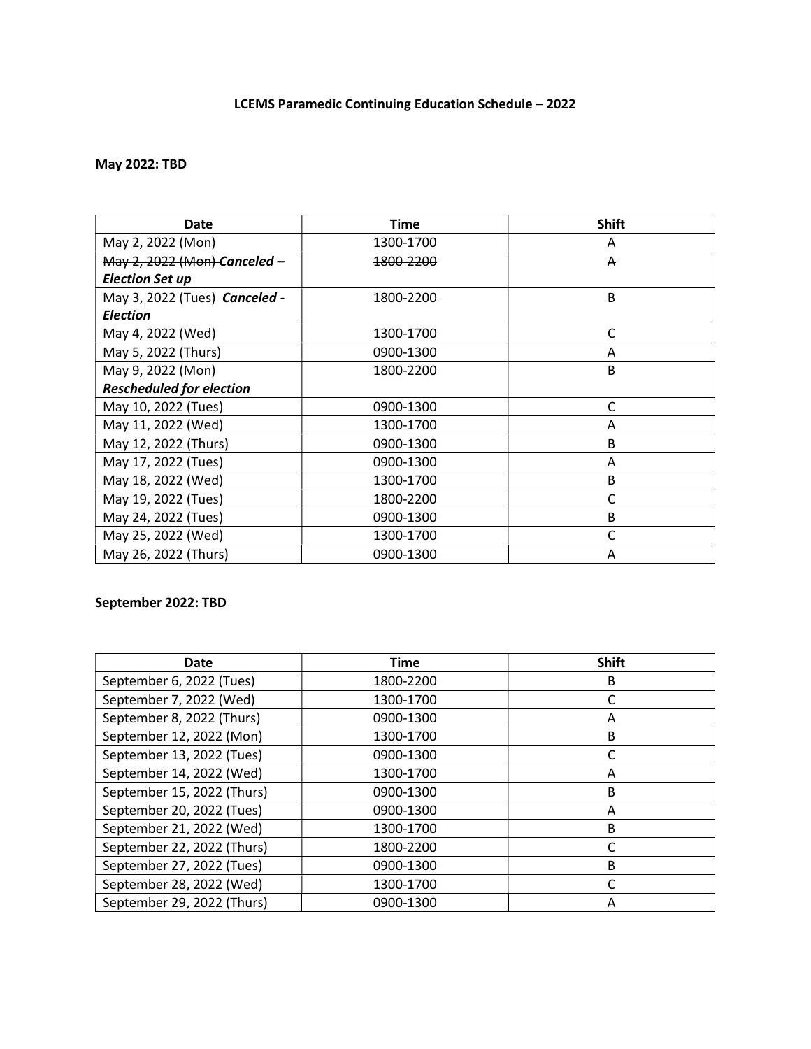# May 2022: TBD

| Date                            | <b>Time</b> | <b>Shift</b> |
|---------------------------------|-------------|--------------|
| May 2, 2022 (Mon)               | 1300-1700   | A            |
| May 2, 2022 (Mon) Canceled -    | 1800-2200   | A            |
| <b>Election Set up</b>          |             |              |
| May 3, 2022 (Tues) Canceled -   | 1800-2200   | B            |
| <b>Election</b>                 |             |              |
| May 4, 2022 (Wed)               | 1300-1700   | C            |
| May 5, 2022 (Thurs)             | 0900-1300   | Α            |
| May 9, 2022 (Mon)               | 1800-2200   | B            |
| <b>Rescheduled for election</b> |             |              |
| May 10, 2022 (Tues)             | 0900-1300   | С            |
| May 11, 2022 (Wed)              | 1300-1700   | Α            |
| May 12, 2022 (Thurs)            | 0900-1300   | B            |
| May 17, 2022 (Tues)             | 0900-1300   | Α            |
| May 18, 2022 (Wed)              | 1300-1700   | B            |
| May 19, 2022 (Tues)             | 1800-2200   | C            |
| May 24, 2022 (Tues)             | 0900-1300   | B            |
| May 25, 2022 (Wed)              | 1300-1700   | C            |
| May 26, 2022 (Thurs)            | 0900-1300   | Α            |

### September 2022: TBD

| <b>Date</b>                | <b>Time</b> | <b>Shift</b> |
|----------------------------|-------------|--------------|
| September 6, 2022 (Tues)   | 1800-2200   | B            |
| September 7, 2022 (Wed)    | 1300-1700   |              |
| September 8, 2022 (Thurs)  | 0900-1300   | A            |
| September 12, 2022 (Mon)   | 1300-1700   | B            |
| September 13, 2022 (Tues)  | 0900-1300   |              |
| September 14, 2022 (Wed)   | 1300-1700   | Α            |
| September 15, 2022 (Thurs) | 0900-1300   | B            |
| September 20, 2022 (Tues)  | 0900-1300   | Α            |
| September 21, 2022 (Wed)   | 1300-1700   | B            |
| September 22, 2022 (Thurs) | 1800-2200   |              |
| September 27, 2022 (Tues)  | 0900-1300   | B            |
| September 28, 2022 (Wed)   | 1300-1700   |              |
| September 29, 2022 (Thurs) | 0900-1300   | Α            |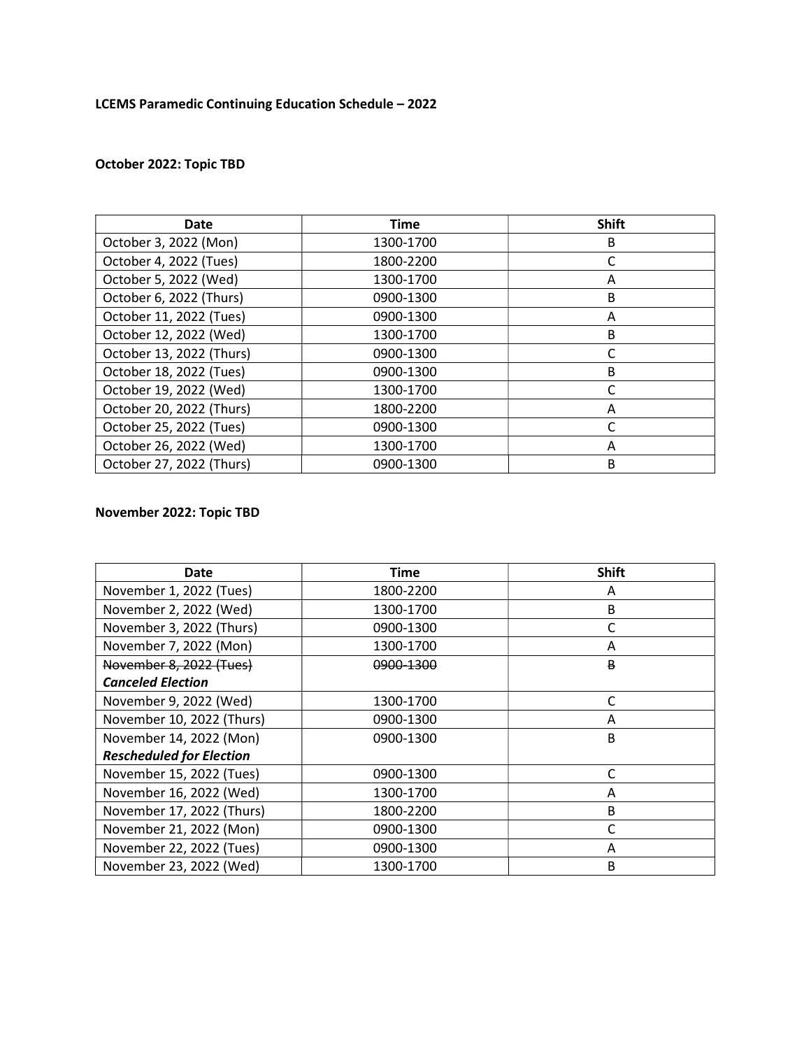# October 2022: Topic TBD

| <b>Date</b>              | <b>Time</b> | <b>Shift</b> |  |  |
|--------------------------|-------------|--------------|--|--|
| October 3, 2022 (Mon)    | 1300-1700   | B            |  |  |
| October 4, 2022 (Tues)   | 1800-2200   |              |  |  |
| October 5, 2022 (Wed)    | 1300-1700   | Α            |  |  |
| October 6, 2022 (Thurs)  | 0900-1300   | B            |  |  |
| October 11, 2022 (Tues)  | 0900-1300   | Α            |  |  |
| October 12, 2022 (Wed)   | 1300-1700   | B            |  |  |
| October 13, 2022 (Thurs) | 0900-1300   | C            |  |  |
| October 18, 2022 (Tues)  | 0900-1300   | B            |  |  |
| October 19, 2022 (Wed)   | 1300-1700   | C            |  |  |
| October 20, 2022 (Thurs) | 1800-2200   | A            |  |  |
| October 25, 2022 (Tues)  | 0900-1300   |              |  |  |
| October 26, 2022 (Wed)   | 1300-1700   | A            |  |  |
| October 27, 2022 (Thurs) | 0900-1300   | B            |  |  |

### November 2022: Topic TBD

| Date                            | <b>Time</b> |   |  |  |
|---------------------------------|-------------|---|--|--|
| November 1, 2022 (Tues)         | 1800-2200   | Α |  |  |
| November 2, 2022 (Wed)          | 1300-1700   | B |  |  |
| November 3, 2022 (Thurs)        | 0900-1300   | C |  |  |
| November 7, 2022 (Mon)          | 1300-1700   | A |  |  |
| November 8, 2022 (Tues)         | 0900-1300   | B |  |  |
| <b>Canceled Election</b>        |             |   |  |  |
| November 9, 2022 (Wed)          | 1300-1700   | C |  |  |
| November 10, 2022 (Thurs)       | 0900-1300   | Α |  |  |
| November 14, 2022 (Mon)         | 0900-1300   | B |  |  |
| <b>Rescheduled for Election</b> |             |   |  |  |
| November 15, 2022 (Tues)        | 0900-1300   | C |  |  |
| November 16, 2022 (Wed)         | 1300-1700   | A |  |  |
| November 17, 2022 (Thurs)       | 1800-2200   | B |  |  |
| November 21, 2022 (Mon)         | 0900-1300   | C |  |  |
| November 22, 2022 (Tues)        | 0900-1300   | A |  |  |
| November 23, 2022 (Wed)         | 1300-1700   | B |  |  |